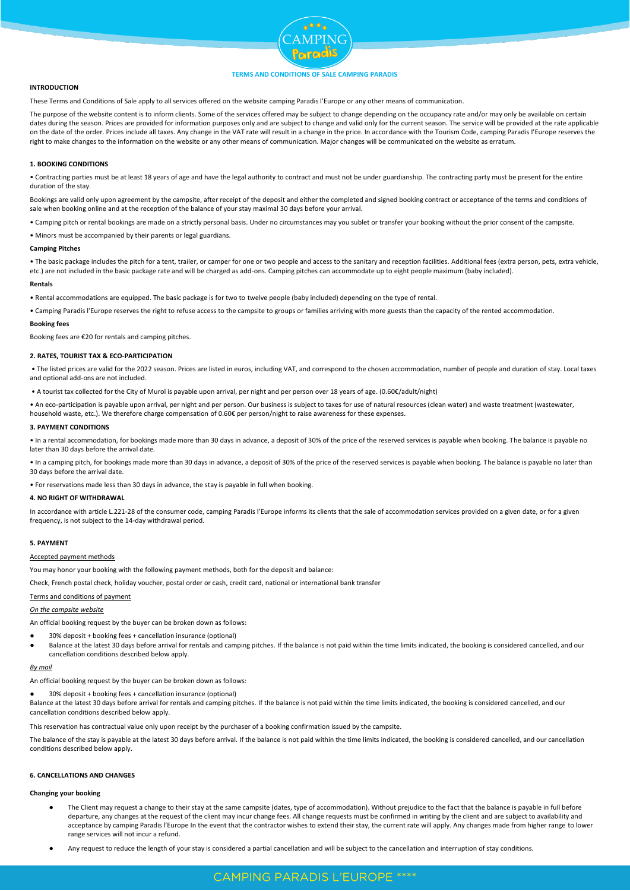

## **INTRODUCTION**

These Terms and Conditions of Sale apply to all services offered on the website camping Paradis l'Europe or any other means of communication.

The purpose of the website content is to inform clients. Some of the services offered may be subject to change depending on the occupancy rate and/or may only be available on certain dates during the season. Prices are provided for information purposes only and are subject to change and valid only for the current season. The service will be provided at the rate applicable on the date of the order. Prices include all taxes. Any change in the VAT rate will result in a change in the price. In accordance with the Tourism Code, camping Paradis l'Europe reserves the right to make changes to the information on the website or any other means of communication. Major changes will be communicated on the website as erratum.

## **1. BOOKING CONDITIONS**

• Contracting parties must be at least 18 years of age and have the legal authority to contract and must not be under guardianship. The contracting party must be present for the entire duration of the stay.

Bookings are valid only upon agreement by the campsite, after receipt of the deposit and either the completed and signed booking contract or acceptance of the terms and conditions of sale when booking online and at the reception of the balance of your stay maximal 30 days before your arrival.

• Camping pitch or rental bookings are made on a strictly personal basis. Under no circumstances may you sublet or transfer your booking without the prior consent of the campsite.

• Minors must be accompanied by their parents or legal guardians.

## **Camping Pitches**

• The basic package includes the pitch for a tent, trailer, or camper for one or two people and access to the sanitary and reception facilities. Additional fees (extra person, pets, extra vehicle, etc.) are not included in the basic package rate and will be charged as add-ons. Camping pitches can accommodate up to eight people maximum (baby included).

## **Rentals**

• Rental accommodations are equipped. The basic package is for two to twelve people (baby included) depending on the type of rental.

• Camping Paradis l'Europe reserves the right to refuse access to the campsite to groups or families arriving with more guests than the capacity of the rented accommodation.

#### **Booking fees**

Booking fees are €20 for rentals and camping pitches.

# **2. RATES, TOURIST TAX & ECO-PARTICIPATION**

• The listed prices are valid for the 2022 season. Prices are listed in euros, including VAT, and correspond to the chosen accommodation, number of people and duration of stay. Local taxes and optional add-ons are not included.

• A tourist tax collected for the City of Murol is payable upon arrival, per night and per person over 18 years of age. (0.60€/adult/night)

• An eco-participation is payable upon arrival, per night and per person. Our business is subject to taxes for use of natural resources (clean water) and waste treatment (wastewater,

household waste, etc.). We therefore charge compensation of 0.60€ per person/night to raise awareness for these expenses.

# **3. PAYMENT CONDITIONS**

• In a rental accommodation, for bookings made more than 30 days in advance, a deposit of 30% of the price of the reserved services is payable when booking. The balance is payable no later than 30 days before the arrival date.

In a camping pitch, for bookings made more than 30 days in advance, a deposit of 30% of the price of the reserved services is payable when booking. The balance is payable no later than 30 days before the arrival date.

• For reservations made less than 30 days in advance, the stay is payable in full when booking.

## **4. NO RIGHT OF WITHDRAWAL**

In accordance with article L.221-28 of the consumer code, camping Paradis l'Europe informs its clients that the sale of accommodation services provided on a given date, or for a given frequency, is not subject to the 14-day withdrawal period.

# **5. PAYMENT**

#### Accepted payment methods

You may honor your booking with the following payment methods, both for the deposit and balance:

Check, French postal check, holiday voucher, postal order or cash, credit card, national or international bank transfer

# Terms and conditions of payment

## *On the campsite website*

An official booking request by the buyer can be broken down as follows:

- 30% deposit + booking fees + cancellation insurance (optional)
- Balance at the latest 30 days before arrival for rentals and camping pitches. If the balance is not paid within the time limits indicated, the booking is considered cancelled, and our cancellation conditions described below apply.

# *By mail*

An official booking request by the buyer can be broken down as follows:

● 30% deposit + booking fees + cancellation insurance (optional)

Balance at the latest 30 days before arrival for rentals and camping pitches. If the balance is not paid within the time limits indicated, the booking is considered cancelled, and our cancellation conditions described below apply.

This reservation has contractual value only upon receipt by the purchaser of a booking confirmation issued by the campsite.

The balance of the stay is payable at the latest 30 days before arrival. If the balance is not paid within the time limits indicated, the booking is considered cancelled, and our cancellation conditions described below apply.

# **6. CANCELLATIONS AND CHANGES**

# **Changing your booking**

- The Client may request a change to their stay at the same campsite (dates, type of accommodation). Without prejudice to the fact that the balance is payable in full before departure, any changes at the request of the client may incur change fees. All change requests must be confirmed in writing by the client and are subject to availability and acceptance by camping Paradis l'Europe In the event that the contractor wishes to extend their stay, the current rate will apply. Any changes made from higher range to lower range services will not incur a refund.
- Any request to reduce the length of your stay is considered a partial cancellation and will be subject to the cancellation and interruption of stay conditions.